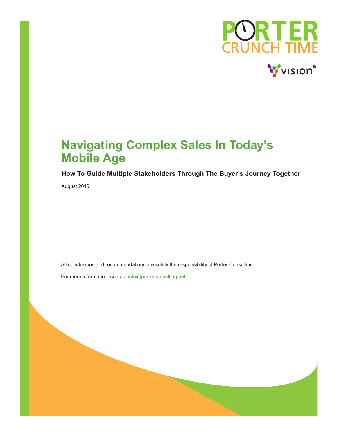

# **Navigating Complex Sales In Today's Mobile Age**

#### **How To Guide Multiple Stakeholders Through The Buyer's Journey Together**

August 2016

All conclusions and recommendations are solely the responsibility of Porter Consulting.

For more information, contact info@porterconsulting.net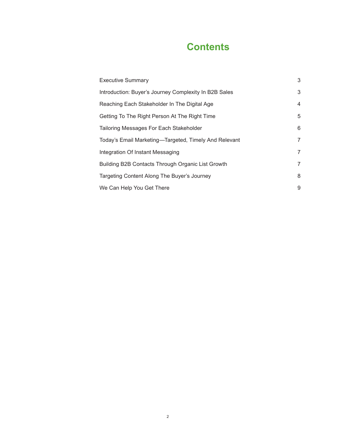# **Contents**

| <b>Executive Summary</b>                              | 3              |
|-------------------------------------------------------|----------------|
| Introduction: Buyer's Journey Complexity In B2B Sales | 3              |
| Reaching Each Stakeholder In The Digital Age          | $\overline{4}$ |
| Getting To The Right Person At The Right Time         | 5              |
| Tailoring Messages For Each Stakeholder               | 6              |
| Today's Email Marketing-Targeted, Timely And Relevant | 7              |
| Integration Of Instant Messaging                      | 7              |
| Building B2B Contacts Through Organic List Growth     | 7              |
| Targeting Content Along The Buyer's Journey           | 8              |
| We Can Help You Get There                             | 9              |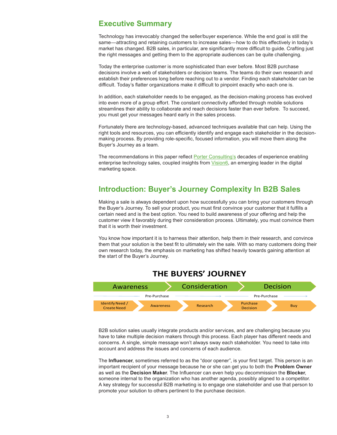#### <span id="page-2-0"></span>**Executive Summary**

Technology has irrevocably changed the seller/buyer experience. While the end goal is still the same—attracting and retaining customers to increase sales—how to do this effectively in today's market has changed. B2B sales, in particular, are significantly more difficult to guide. Crafting just the right messages and getting them to the appropriate audiences can be quite challenging.

Today the enterprise customer is more sophisticated than ever before. Most B2B purchase decisions involve a web of stakeholders or decision teams. The teams do their own research and establish their preferences long before reaching out to a vendor. Finding each stakeholder can be difficult. Today's flatter organizations make it difficult to pinpoint exactly who each one is.

In addition, each stakeholder needs to be engaged, as the decision-making process has evolved into even more of a group effort. The constant connectivity afforded through mobile solutions streamlines their ability to collaborate and reach decisions faster than ever before. To succeed, you must get your messages heard early in the sales process.

Fortunately there are technology-based, advanced techniques available that can help. Using the right tools and resources, you can efficiently identify and engage each stakeholder in the decisionmaking process. By providing role-specific, focused information, you will move them along the Buyer's Journey as a team.

The recommendations in this paper reflect **Porter Consulting's** decades of experience enabling enterprise technology sales, coupled insights from [Vision6](http://www.vision6.com/), an emerging leader in the digital marketing space.

## **Introduction: Buyer's Journey Complexity In B2B Sales**

Making a sale is always dependent upon how successfully you can bring your customers through the Buyer's Journey. To sell your product, you must first convince your customer that it fulfills a certain need and is the best option. You need to build awareness of your offering and help the customer view it favorably during their consideration process. Ultimately, you must convince them that it is worth their investment.

You know how important it is to harness their attention, help them in their research, and convince them that your solution is the best fit to ultimately win the sale. With so many customers doing their own research today, the emphasis on marketing has shifted heavily towards gaining attention at the start of the Buyer's Journey.



#### **THE BUYERS' JOURNEY**

B2B solution sales usually integrate products and/or services, and are challenging because you have to take multiple decision makers through this process. Each player has different needs and concerns. A single, simple message won't always sway each stakeholder. You need to take into account and address the issues and concerns of each audience.

The **Influencer**, sometimes referred to as the "door opener", is your first target. This person is an important recipient of your message because he or she can get you to both the **Problem Owner**  as well as the **Decision Maker**. The Influencer can even help you decommission the **Blocker**, someone internal to the organization who has another agenda, possibly aligned to a competitor. A key strategy for successful B2B marketing is to engage one stakeholder and use that person to promote your solution to others pertinent to the purchase decision.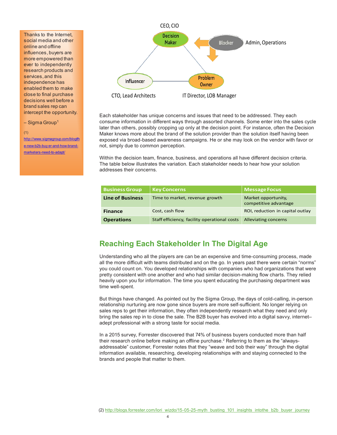<span id="page-3-0"></span>Thanks to the Internet, social media and other online and offline influences, buyers are more empowered than ever to independently research products and services, and this independence has enabled them to make close to final purchase decisions well before a brand sales rep can intercept the opportunity.

#### $-$  Sigma Group<sup>1</sup>

#### (1)

http://www.sigmagroup.com/blog/th e-new-b2b-buy er-and-how-brandmarketers-need-to-adapt/



Each stakeholder has unique concerns and issues that need to be addressed. They each consume information in different ways through assorted channels. Some enter into the sales cycle later than others, possibly cropping up only at the decision point. For instance, often the Decision Maker knows more about the brand of the solution provider than the solution itself having been exposed via broad-based awareness campaigns. He or she may look on the vendor with favor or not, simply due to common perception.

Within the decision team, finance, business, and operations all have different decision criteria. The table below illustrates the variation. Each stakeholder needs to hear how your solution addresses their concerns.

| <b>Business Group</b>   | <b>Key Concerns</b>                          | <b>Message Focus</b>                         |
|-------------------------|----------------------------------------------|----------------------------------------------|
| <b>Line of Business</b> | Time to market, revenue growth               | Market opportunity,<br>competitive advantage |
| <b>Finance</b>          | Cost, cash flow                              | ROI, reduction in capital outlay             |
| <b>Operations</b>       | Staff efficiency, facility operational costs | Alleviating concerns                         |

### **Reaching Each Stakeholder In The Digital Age**

Understanding who all the players are can be an expensive and time-consuming process, made all the more difficult with teams distributed and on the go. In years past there were certain "norms" you could count on. You developed relationships with companies who had organizations that were pretty consistent with one another and who had similar decision-making flow charts. They relied heavily upon you for information. The time you spent educating the purchasing department was time well-spent.

But things have changed. As pointed out by the Sigma Group, the days of cold-calling, in-person relationship nurturing are now gone since buyers are more self-sufficient. No longer relying on sales reps to get their information, they often independently research what they need and only bring the sales rep in to close the sale. The B2B buyer has evolved into a digital savvy, internet– adept professional with a strong taste for social media.

In a 2015 survey, Forrester discovered that 74% of business buyers conducted more than half their research online before making an offline purchase. $^{\rm 2}$  Referring to them as the "alwaysaddressable" customer, Forrester notes that they "weave and bob their way" through the digital information available, researching, developing relationships with and staying connected to the brands and people that matter to them.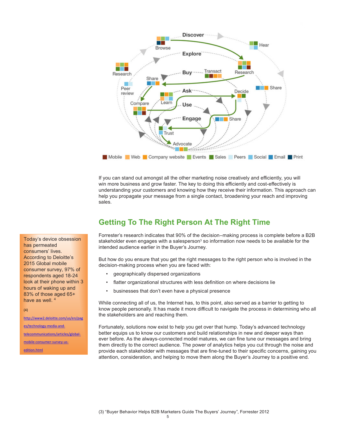<span id="page-4-0"></span>

If you can stand out amongst all the other marketing noise creatively and efficiently, you will win more business and grow faster. The key to doing this efficiently and cost-effectively is understanding your customers and knowing how they receive their information. This approach can help you propagate your message from a single contact, broadening your reach and improving sales.

# **Getting To The Right Person At The Right Time**

Forrester's research indicates that 90% of the decision–making process is complete before a B2B stakeholder even engages with a salesperson $^{\rm 3}$  so information now needs to be available for the intended audience earlier in the Buyer's Journey.

But how do you ensure that you get the right messages to the right person who is involved in the decision-making process when you are faced with:

- geographically dispersed organizations
- flatter organizational structures with less definition on where decisions lie
- businesses that don't even have a physical presence

While connecting all of us, the Internet has, to this point, also served as a barrier to getting to know people personally. It has made it more difficult to navigate the process in determining who all the stakeholders are and reaching them.

Fortunately, solutions now exist to help you get over that hump. Today's advanced technology better equips us to know our customers and build relationships in new and deeper ways than ever before. As the always-connected model matures, we can fine tune our messages and bring them directly to the correct audience. The power of analytics helps you cut through the noise and provide each stakeholder with messages that are fine-tuned to their specific concerns, gaining you attention, consideration, and helping to move them along the Buyer's Journey to a positive end.

Today's device obsession has permeated consumers' lives. According to Deloitte's 2015 Global mobile consumer survey, 97% of respondents aged 18-24 look at their phone within 3 hours of waking up and 83% of those aged 65+ have as well. 4

#### (4)

http://www2.deloitte.com/us/en/pag es/technology-media-andtelecommunications/articles/globalmobile-consumer-survey-us-

edition.html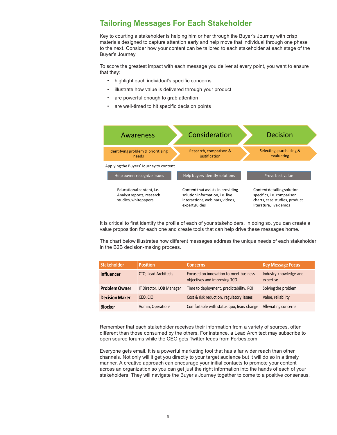### <span id="page-5-0"></span>**Tailoring Messages For Each Stakeholder**

Key to courting a stakeholder is helping him or her through the Buyer's Journey with crisp materials designed to capture attention early and help move that individual through one phase to the next. Consider how your content can be tailored to each stakeholder at each stage of the Buyer's Journey.

To score the greatest impact with each message you deliver at every point, you want to ensure that they:

- highlight each individual's specific concerns
- illustrate how value is delivered through your product
- are powerful enough to grab attention
- are well-timed to hit specific decision points



It is critical to first identify the profile of each of your stakeholders. In doing so, you can create a value proposition for each one and create tools that can help drive these messages home.

The chart below illustrates how different messages address the unique needs of each stakeholder in the B2B decision-making process.

| <b>Stakeholder</b>    | <b>Position</b>          | <b>Concerns</b>                                                        | <b>Key Message Focus</b>            |
|-----------------------|--------------------------|------------------------------------------------------------------------|-------------------------------------|
| <b>Influencer</b>     | CTO, Lead Architects     | Focused on innovation to meet business<br>objectives and improving TCO | Industry knowledge and<br>expertise |
| <b>Problem Owner</b>  | IT Director, LOB Manager | Time to deployment, predictability, ROI                                | Solving the problem                 |
| <b>Decision Maker</b> | CEO, CIO                 | Cost & risk reduction, regulatory issues                               | Value, reliability                  |
| <b>Blocker</b>        | Admin, Operations        | Comfortable with status quo, fears change                              | Alleviating concerns                |

Remember that each stakeholder receives their information from a variety of sources, often different than those consumed by the others. For instance, a Lead Architect may subscribe to open source forums while the CEO gets Twitter feeds from Forbes.com.

Everyone gets email. It is a powerful marketing tool that has a far wider reach than other channels. Not only will it get you directly to your target audience but it will do so in a timely manner. A creative approach can encourage your initial contacts to promote your content across an organization so you can get just the right information into the hands of each of your stakeholders. They will navigate the Buyer's Journey together to come to a positive consensus.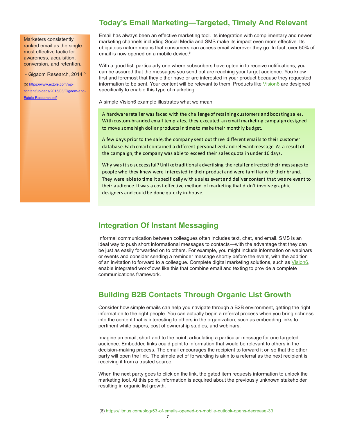<span id="page-6-0"></span>Marketers consistently ranked email as the single most effective tactic for awareness, acquisition, conversion, and retention.

- Gigaom Research, 2014 5

(5) https://www.extole.com/wpcontent/uploads/2015/03/Gigaom-and-Extole-Research.pdf

### **Today's Email Marketing—Targeted, Timely And Relevant**

Email has always been an effective marketing tool. Its integration with complimentary and newer marketing channels including Social Media and SMS make its impact even more effective. Its ubiquitous nature means that consumers can access email wherever they go. In fact, over 50% of email is now opened on a mobile device.<sup>6</sup>

With a good list, particularly one where subscribers have opted in to receive notifications, you can be assured that the messages you send out are reaching your target audience. You know first and foremost that they either have or are interested in your product because they requested information to be sent. Your content will be relevant to them. Products like [Vision6](http://www.vision6.com/) are designed specifically to enable this type of marketing.

A simple Vision6 example illustrates what we mean:

A hardware retailer was faced with the challenge of retaining customers and boosting sales. With custom-branded email templates, they executed an email marketing campaign designed to move some high dollar products in time to make their monthly budget.

A few days prior to the sale, the company sent out three different emails to their customer database. Each email contained a different personalized and relevant message. As a result of the campaign, the company was able to exceed their sales quota in under 10 days.

Why was it so successful? Unlike traditional advertising, the retailer directed their messages to people who they knew were interested in their product and were familiar with their brand. They were able to time it specifically with a sales event and deliver content that was relevant to their audience. It was a cost-effective method of marketing that didn't involve graphic designers and could be done quickly in-house.

#### **Integration Of Instant Messaging**

Informal communication between colleagues often includes text, chat, and email. SMS is an ideal way to push short informational messages to contacts—with the advantage that they can be just as easily forwarded on to others. For example, you might include information on webinars or events and consider sending a reminder message shortly before the event, with the addition of an invitation to forward to a colleague. Complete digital marketing solutions, such as [Vision6](http://www.vision6.com/), enable integrated workflows like this that combine email and texting to provide a complete communications framework.

# **Building B2B Contacts Through Organic List Growth**

Consider how simple emails can help you navigate through a B2B environment, getting the right information to the right people. You can actually begin a referral process when you bring richness into the content that is interesting to others in the organization, such as embedding links to pertinent white papers, cost of ownership studies, and webinars.

Imagine an email, short and to the point, articulating a particular message for one targeted audience. Embedded links could point to information that would be relevant to others in the decision-making process. The email encourages the recipient to forward it on so that the other party will open the link. The simple act of forwarding is akin to a referral as the next recipient is receiving it from a trusted source.

When the next party goes to click on the link, the gated item requests information to unlock the marketing tool. At this point, information is acquired about the previously unknown stakeholder resulting in organic list growth.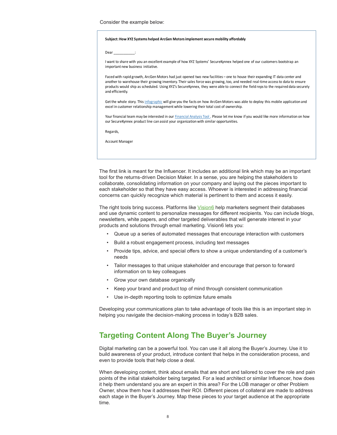<span id="page-7-0"></span>Consider the example below:

#### **Subject: How XYZ Systems helped ArcGen Motors implement secure mobility affordably**

Dear \_\_\_\_\_\_\_\_\_\_\_:

I want to share with you an excellent example of how XYZ Systems' SecureKynnex helped one of our customers bootstrap an important new business initiative.

Faced with rapid growth, ArcGen Motors had just opened two new facilities – one to house their expanding IT data center and another to warehouse their growing inventory. Their sales force was growing, too, and needed real-time access to data to ensure products would ship as scheduled. Using XYZ's SecureKynnex, they were able to connect the field reps to the required data securely and efficiently.

Get the whole story. This infographic will give you the facts on how ArcGen Motors was able to deploy this mobile application and excel in customer relationship management while lowering their total cost of ownership.

Your financial team may be interested in our Financial Analysis Tool . Please let me know if you would like more information on how our SecureKynnex product line can assist your organization with similar opportunities.

Regards,

Account Manager

The first link is meant for the Influencer. It includes an additional link which may be an important tool for the returns-driven Decision Maker. In a sense, you are helping the stakeholders to collaborate, consolidating information on your company and laying out the pieces important to each stakeholder so that they have easy access. Whoever is interested in addressing financial concerns can quickly recognize which material is pertinent to them and access it easily.

The right tools bring success. Platforms like [Vision6](http://www.vision6.com/) help marketers segment their databases and use dynamic content to personalize messages for different recipients. You can include blogs, newsletters, white papers, and other targeted deliverables that will generate interest in your products and solutions through email marketing. Vision6 lets you:

- Queue up a series of automated messages that encourage interaction with customers
- Build a robust engagement process, including text messages
- Provide tips, advice, and special offers to show a unique understanding of a customer's needs
- Tailor messages to that unique stakeholder and encourage that person to forward information on to key colleagues
- Grow your own database organically
- Keep your brand and product top of mind through consistent communication
- Use in-depth reporting tools to optimize future emails

Developing your communications plan to take advantage of tools like this is an important step in helping you navigate the decision-making process in today's B2B sales.

### **Targeting Content Along The Buyer's Journey**

Digital marketing can be a powerful tool. You can use it all along the Buyer's Journey. Use it to build awareness of your product, introduce content that helps in the consideration process, and even to provide tools that help close a deal.

When developing content, think about emails that are short and tailored to cover the role and pain points of the initial stakeholder being targeted. For a lead architect or similar Influencer, how does it help them understand you are an expert in this area? For the LOB manager or other Problem Owner, show them how it addresses their ROI. Different pieces of collateral are made to address each stage in the Buyer's Journey. Map these pieces to your target audience at the appropriate time.